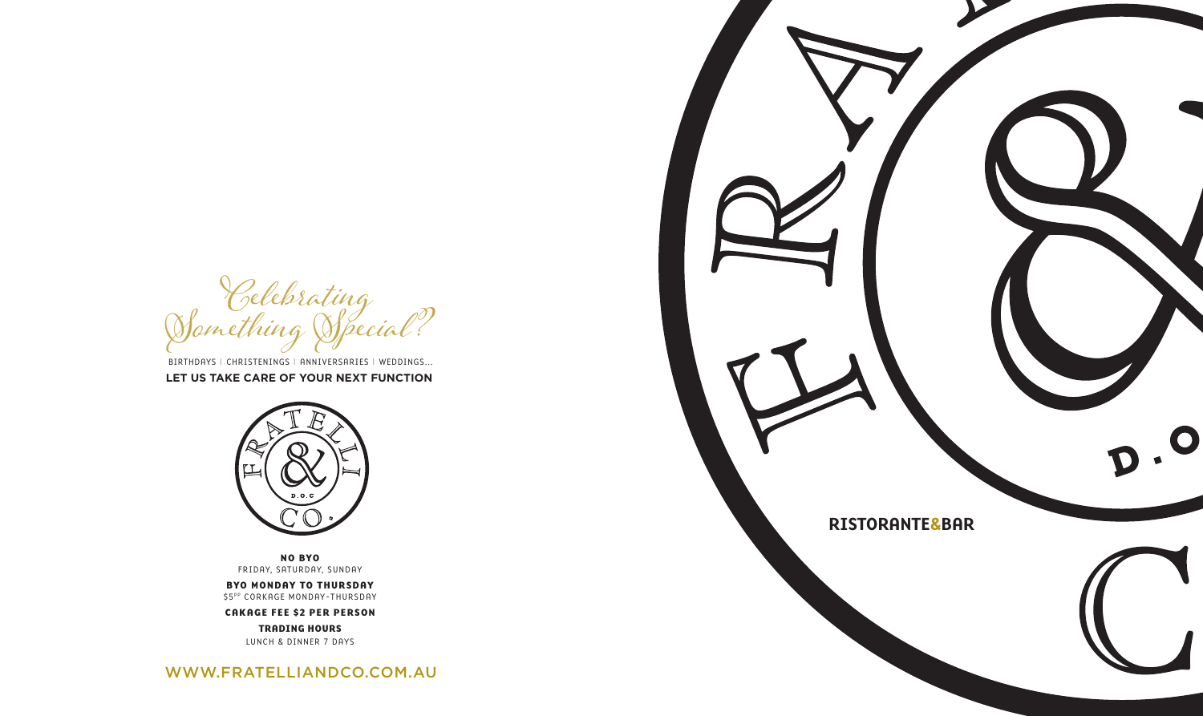**NO BYO** FRIDAY, SATURDAY, SUNDAY

**BYO MONDAY TO THURSDAY** \$5PP CORKAGE MONDAY-THURSDAY

**CAKAGE FEE \$2 PER PERSON**

**TRADING HOURS** LUNCH & DINNER 7 DAYS

WWW.FRATELLIANDCO.COM.AU



Celebrating<br>Something Special?

BIRTHDAYS I CHRISTENINGS I ANNIVERSARIES I WEDDINGS... **LET US TAKE CARE OF YOUR NEXT FUNCTION**